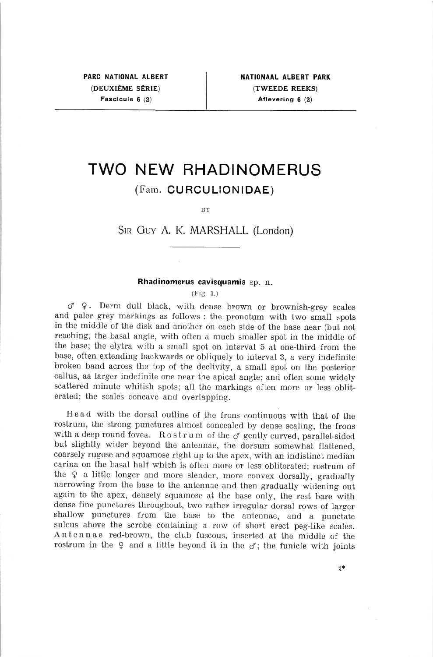# TWO NEW RHADINOMERUS (Fam. CURCULIONIDAE)

BY

## Sir Guy A. K. MARSHALL (London)

#### Rhadinomerus cavisquamis sp. n.

(Fig. 1.)

<ƒ \$ . Derm dull black, with dense brown or brownish-grey scales and paler grey markings as follows : the pronotum with two small spots in the middle of the disk and another on each side of the base near (but not reaching) the basai angle, with often <sup>a</sup> much smaller spot in the middle of the base; the elytra with <sup>a</sup> small spot on interval <sup>5</sup> at one-third from the base, often extending backwards or obliquely to interval 3, <sup>a</sup> very indefinite broken band across the top of the declivity, <sup>a</sup> small spot on the posterior callus, aa larger indefinite one near the apical angle; and often some widely scattered minute whitish spots; ail the markings often more or less obliterated; the scales concave and overlapping.

Head with the dorsal outline of the frons continuous with that of the rostrum, the strong punctures almost concealed by dense scaling, the frons with a deep round fovea. Rostrum of the  $\sigma$  gently curved, parallel-sided but slightly wider beyond the antennae, the dorsum somewhat flattened, coarsely rugose and squamose right up to the apex, with an indistinct median carina on the basai half which is often more or less obliterated; rostrum of the  $\varphi$  a little longer and more slender, more convex dorsally, gradually narrowing from the base to the antennae and then gradually widening out again to the apex, densely squamose at the base only, the rest bare with dense fine punctures throughout, two rather irregular dorsal rows of larger shallow punctures from the base to the antennae, and <sup>a</sup> punctate sulcus above the scrobe containing <sup>a</sup> row of short erect peg-like scales. Antennae red-brown, the club fuscous, inserted at the middle of the rostrum in the  $\varphi$  and a little beyond it in the  $\varphi$ ; the funicle with joints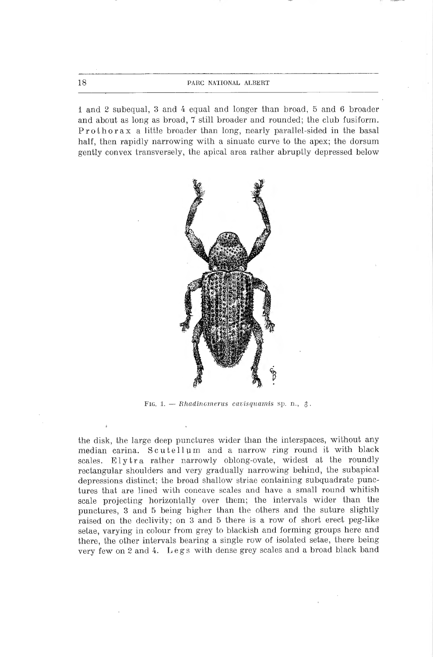18 **PARC NATIONAL ALBERT** 

1 and 2 subequal, 3 and 4 equal and longer than broad, 5 and 6 broader and about as long as broad, <sup>7</sup> still broader and rounded; the club fusiform. Prothorax <sup>a</sup> little broader than long, nearly parallel-sided in the basai half, then rapidly narrowing with <sup>a</sup> sinuate curve to the apex; the dorsum gently convex transversely, the apical area rather abruptly depressed below



FIG. 1. - Rhadinomerus cavisquamis sp. n.,  $\delta$ .

the disk, the large deep punctures wider than the interspaces, without any médian carina. Scutellum and <sup>a</sup> narrow ring round it with black scales. Elytra rather narrowly oblong-ovate, widest at the roundly rectangular shoulders and very gradually narrowing behind, the subapical depressions distinct; the broad shallow striae containing subquadrate punctures that are lined with concave scales and have <sup>a</sup> small round whitish scale projecting horizontally over them; the intervals wider than the punctures, <sup>3</sup> and <sup>5</sup> being higher than the others and the suture slightly raised on the declivity; on <sup>3</sup> and <sup>5</sup> there is a row of short erect peg-like setae, varying in colour from grey to blackish and forming groups here and there, the other intervais bearing a single row of isolated setae, there being very few on <sup>2</sup> and 4. Legs with dense grey scales and <sup>a</sup> broad black band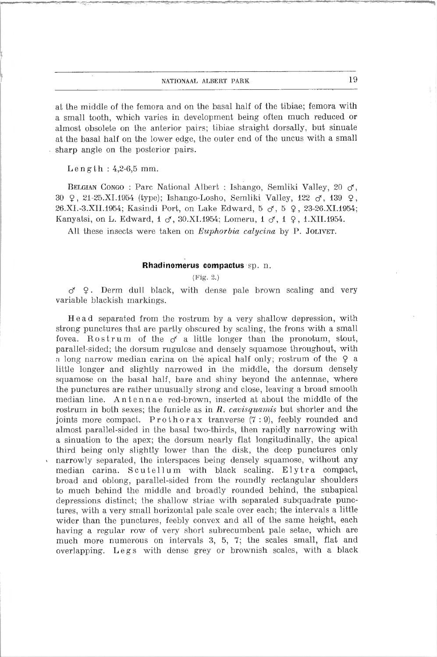### nationaal albert park 19

at the middle of the femora and on the basai half of the tibiae; femora with <sup>a</sup> small tooth, which varies in development being often much reduced or almost obsolete on the anterior pairs; tibiae straight dorsally, but sinuate at the basal half on the lower edge, the outer end of the uncus with a small sharp angle on the posterior pairs.

 $Lensth : 4,2-6,5$  mm.

BELGIAN CONGO : Parc National Albert : Ishango, Semliki Valley, 20  $\sigma$ , 30 Q, 21-25.XI.1954 (type); Ishango-Losho, Semliki Valley, 122  $\sigma$ , 139 Q, 26.XI.-3.XII. 1954; Kasindi Port, on Lake Edward, <sup>5</sup> <ƒ, <sup>5</sup> 9, 23-26.XI. 1954; Kanyatsi, on L. Edward,  $1 \circ 30.11.1954$ ; Lomeru,  $1 \circ 1.4$ , 1.XII.1954.

All these insects were taken on *Euphorbia calycina* by P. JOLIVET.

#### Rhadinomerus compactus sp. n.

(Fig. 2.)

 $\sigma$  9. Derm dull black, with dense pale brown scaling and very variable blackish markings.

Head separated from the rostrum by <sup>a</sup> very shallow dépression, with strong punctures that are partly obscured by scaling, the frons with <sup>a</sup> small fovea. Rostrum of the  $\sigma$  a little longer than the pronotum, stout, parallel-sided; the dorsum rugulose and densely squamose throughout, with <sup>a</sup> long narrow médian carina on the apical half only; rostrum of the 9 <sup>a</sup> little longer and slightly narrowed in the middle, the dorsum densely squamose on the basai half, bare and shiny beyond the antennae, where the punctures are rather unusually strong and close, leaving <sup>a</sup> broad smooth médian line. Antennae red-brown, inserted at about the middle of the rostrum in both sexes; the funicle as in  $R$ , cavisquamis but shorter and the joints more compact. Pro thorax tranverse (7 : 9), feebly rounded and almost parallel-sided in the basai two-thirds, then rapidly narrowing with <sup>a</sup> sinuation to the apex; the dorsum nearly flat longitudinally, the apical third being only slightly lower than the disk, the deep punctures only narrowly separated, the interspaces being densely squamose, without any médian carina. Scutellum with black scaling. Elytra compact, broad and oblong, parallel-sided from the roundly rectangular shoulders to much behincl the middle and broadly rounded behind, the subapical depressions distinct; the shallow striae with separated subquadrate punctures, with <sup>a</sup> very small horizontal pale scale over each; the intervals <sup>a</sup> little wider than the punctures, feebly convex and all of the same height, each having a regular row of very short subrecumbent pale setae, which are much more numerous on intervals 3, 5, 7; the scales small, flat and overlapping. Legs with dense grey or brownish scales, with <sup>a</sup> black